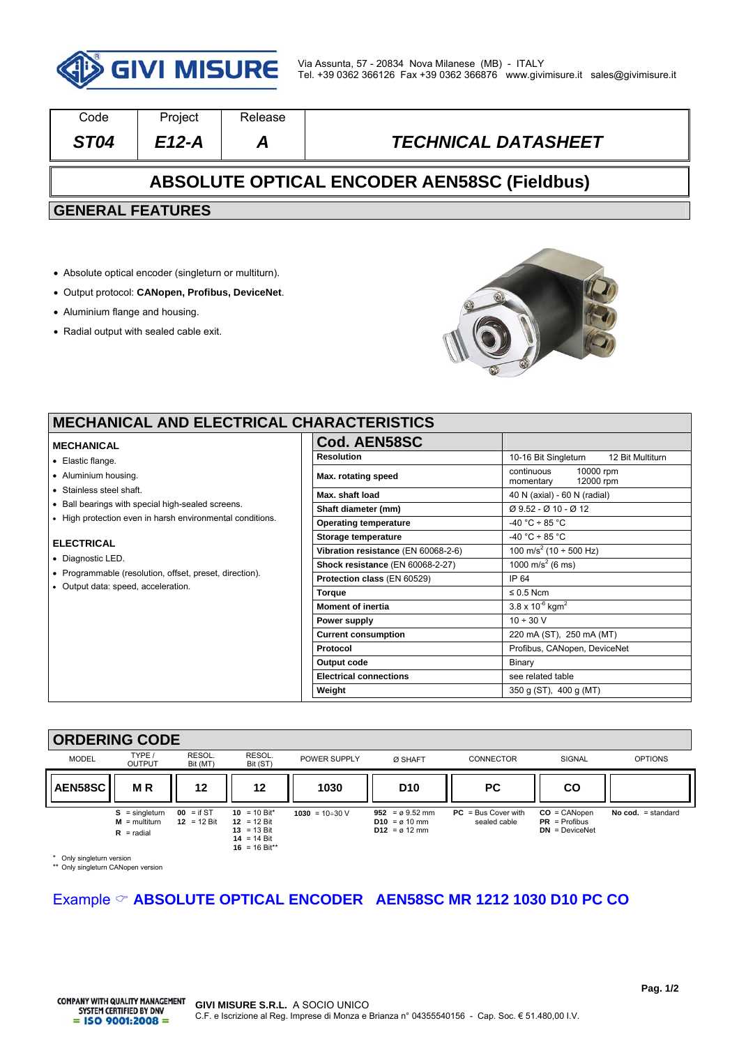

| Code                                               | Project | Release |                            |  |  |  |  |
|----------------------------------------------------|---------|---------|----------------------------|--|--|--|--|
| ST <sub>04</sub>                                   | $E12-A$ | А       | <b>TECHNICAL DATASHEET</b> |  |  |  |  |
| <b>ABSOLUTE OPTICAL ENCODER AEN58SC (Fieldbus)</b> |         |         |                            |  |  |  |  |
| <b>GENERAL FEATURES</b>                            |         |         |                            |  |  |  |  |
|                                                    |         |         |                            |  |  |  |  |
|                                                    |         |         |                            |  |  |  |  |

- Absolute optical encoder (singleturn or multiturn).
- Output protocol: **CANopen, Profibus, DeviceNet**.
- Aluminium flange and housing.
- Radial output with sealed cable exit.



 $\overline{\phantom{a}}$ 

## **MECHANICAL AND ELECTRICAL C**

### **MECHANICAL**

- Elastic flange.
- Aluminium housing.
- Stainless steel shaft.
- Ball bearings with special high-sealed screens.
- High protection even in harsh environmental conditions.

#### **ELECTRICAL**

- Diagnostic LED.
- Programmable (resolution, offset, preset, direction).
- Output data: speed, acceleration.

| <b>HARACTERISTICS:</b>              |                                                |  |  |  |  |
|-------------------------------------|------------------------------------------------|--|--|--|--|
| Cod. AEN58SC                        |                                                |  |  |  |  |
| <b>Resolution</b>                   | 10-16 Bit Singleturn 12 Bit Multiturn          |  |  |  |  |
| Max. rotating speed                 | continuous<br>10000 rpm<br>momentary 12000 rpm |  |  |  |  |
| Max. shaft load                     | 40 N (axial) - 60 N (radial)                   |  |  |  |  |
| Shaft diameter (mm)                 | Ø 9.52 - Ø 10 - Ø 12                           |  |  |  |  |
| <b>Operating temperature</b>        | $-40 °C \div 85 °C$                            |  |  |  |  |
| Storage temperature                 | $-40 °C \div 85 °C$                            |  |  |  |  |
| Vibration resistance (EN 60068-2-6) | 100 m/s <sup>2</sup> (10 ÷ 500 Hz)             |  |  |  |  |
| Shock resistance (EN 60068-2-27)    | 1000 m/s <sup>2</sup> (6 ms)                   |  |  |  |  |
| Protection class (EN 60529)         | IP 64                                          |  |  |  |  |
| Torque                              | $\leq 0.5$ Ncm                                 |  |  |  |  |
| <b>Moment of inertia</b>            | $3.8 \times 10^{-6}$ kgm <sup>2</sup>          |  |  |  |  |
| Power supply                        | $10 \div 30$ V                                 |  |  |  |  |
| <b>Current consumption</b>          | 220 mA (ST), 250 mA (MT)                       |  |  |  |  |
| Protocol                            | Profibus, CANopen, DeviceNet                   |  |  |  |  |
| Output code                         | Binary                                         |  |  |  |  |
| <b>Electrical connections</b>       | see related table                              |  |  |  |  |
| Weight                              | 350 g (ST), 400 g (MT)                         |  |  |  |  |

## **ORDERING CODE**



Only singleturn version \*\* Only singleturn CANopen version

## Example **ABSOLUTE OPTICAL ENCODER AEN58SC MR 1212 1030 D10 PC CO**